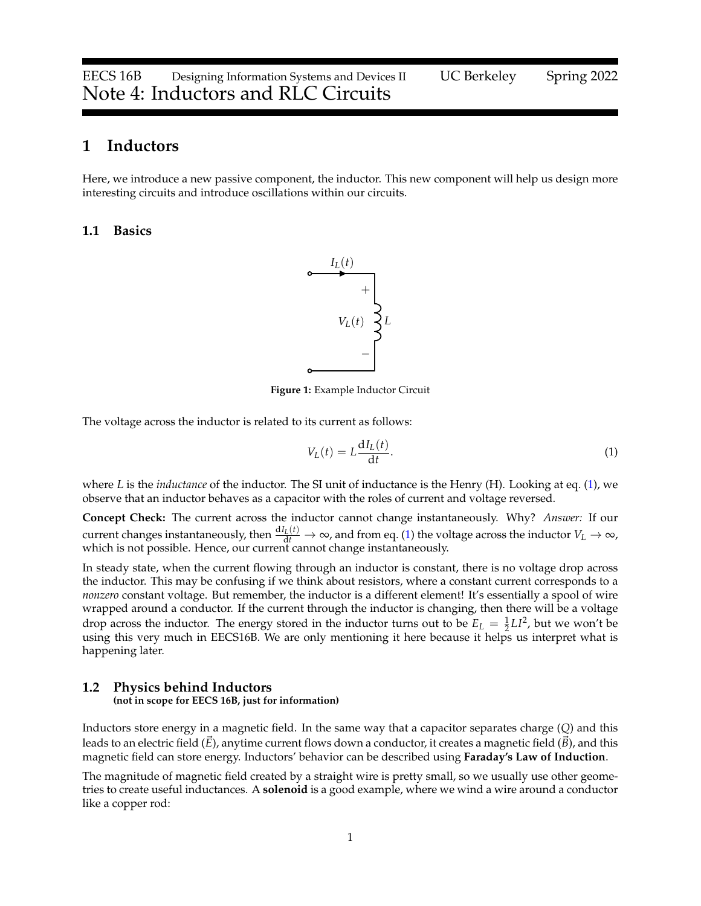## **1 Inductors**

Here, we introduce a new passive component, the inductor. This new component will help us design more interesting circuits and introduce oscillations within our circuits.

### **1.1 Basics**



**Figure 1:** Example Inductor Circuit

The voltage across the inductor is related to its current as follows:

<span id="page-0-0"></span>
$$
V_L(t) = L \frac{dI_L(t)}{dt}.
$$
\n<sup>(1)</sup>

where *L* is the *inductance* of the inductor. The SI unit of inductance is the Henry (H). Looking at eq. [\(1\)](#page-0-0), we observe that an inductor behaves as a capacitor with the roles of current and voltage reversed.

**Concept Check:** The current across the inductor cannot change instantaneously. Why? *Answer:* If our current changes instantaneously, then  $\frac{dI_L(t)}{dt} \to \infty$ , and from eq. [\(1\)](#page-0-0) the voltage across the inductor  $V_L \to \infty$ , which is not possible. Hence, our current cannot change instantaneously.

In steady state, when the current flowing through an inductor is constant, there is no voltage drop across the inductor. This may be confusing if we think about resistors, where a constant current corresponds to a *nonzero* constant voltage. But remember, the inductor is a different element! It's essentially a spool of wire wrapped around a conductor. If the current through the inductor is changing, then there will be a voltage drop across the inductor. The energy stored in the inductor turns out to be  $E_L = \frac{1}{2}LI^2$ , but we won't be using this very much in EECS16B. We are only mentioning it here because it helps us interpret what is happening later.

### **1.2 Physics behind Inductors**

**(not in scope for EECS 16B, just for information)**

Inductors store energy in a magnetic field. In the same way that a capacitor separates charge (*Q*) and this leads to an electric field  $(E)$ , anytime current flows down a conductor, it creates a magnetic field  $(B)$ , and this magnetic field can store energy. Inductors' behavior can be described using **Faraday's Law of Induction**.

The magnitude of magnetic field created by a straight wire is pretty small, so we usually use other geometries to create useful inductances. A **solenoid** is a good example, where we wind a wire around a conductor like a copper rod: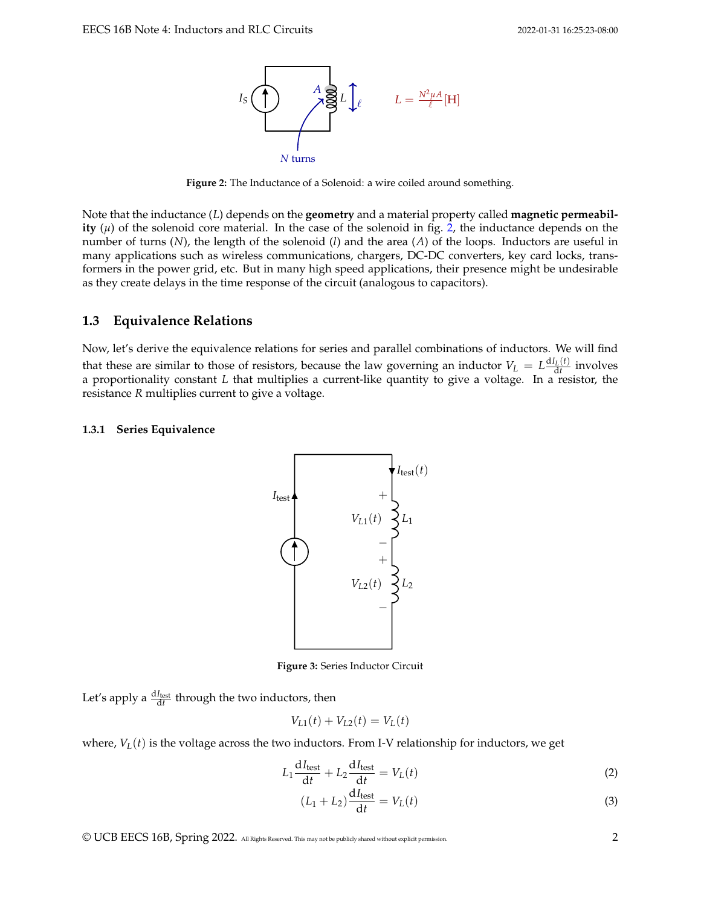<span id="page-1-0"></span>

**Figure 2:** The Inductance of a Solenoid: a wire coiled around something.

Note that the inductance (*L*) depends on the **geometry** and a material property called **magnetic permeability**  $(\mu)$  of the solenoid core material. In the case of the solenoid in fig. [2,](#page-1-0) the inductance depends on the number of turns (*N*), the length of the solenoid (*l*) and the area (*A*) of the loops. Inductors are useful in many applications such as wireless communications, chargers, DC-DC converters, key card locks, transformers in the power grid, etc. But in many high speed applications, their presence might be undesirable as they create delays in the time response of the circuit (analogous to capacitors).

### **1.3 Equivalence Relations**

Now, let's derive the equivalence relations for series and parallel combinations of inductors. We will find that these are similar to those of resistors, because the law governing an inductor  $V_L = L \frac{dI_L(t)}{dt}$  involves a proportionality constant *L* that multiplies a current-like quantity to give a voltage. In a resistor, the resistance *R* multiplies current to give a voltage.

#### **1.3.1 Series Equivalence**



**Figure 3:** Series Inductor Circuit

Let's apply a  $\frac{dI_{\text{test}}}{dt}$  through the two inductors, then

$$
V_{L1}(t) + V_{L2}(t) = V_L(t)
$$

where,  $V_L(t)$  is the voltage across the two inductors. From I-V relationship for inductors, we get

$$
L_1 \frac{dI_{\text{test}}}{dt} + L_2 \frac{dI_{\text{test}}}{dt} = V_L(t)
$$
 (2)

$$
(L_1 + L_2)\frac{\mathrm{d}I_{\text{test}}}{\mathrm{d}t} = V_L(t) \tag{3}
$$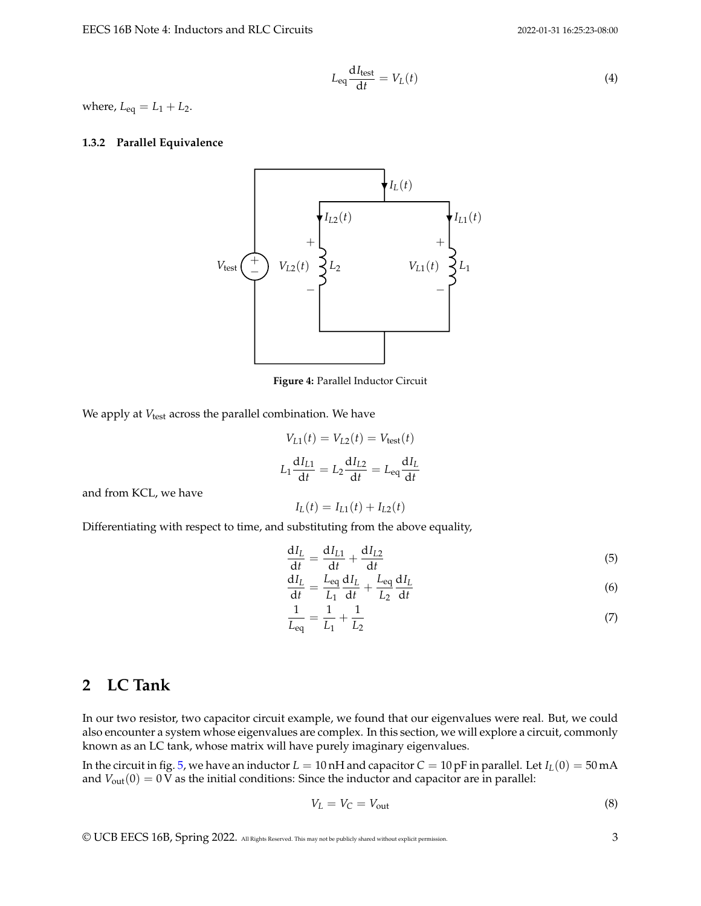$$
L_{\text{eq}} \frac{\mathrm{d}I_{\text{test}}}{\mathrm{d}t} = V_L(t) \tag{4}
$$

where,  $L_{eq} = L_1 + L_2$ .

#### **1.3.2 Parallel Equivalence**



**Figure 4:** Parallel Inductor Circuit

We apply at *V*<sub>test</sub> across the parallel combination. We have

$$
V_{L1}(t) = V_{L2}(t) = V_{\text{test}}(t)
$$

$$
L_1 \frac{dI_{L1}}{dt} = L_2 \frac{dI_{L2}}{dt} = L_{\text{eq}} \frac{dI_L}{dt}
$$

$$
I_L(t) = I_{L1}(t) + I_{L2}(t)
$$

and from KCL, we have

Differentiating with respect to time, and substituting from the above equality,

$$
\frac{\mathrm{d}I_L}{\mathrm{d}t} = \frac{\mathrm{d}I_{L1}}{\mathrm{d}t} + \frac{\mathrm{d}I_{L2}}{\mathrm{d}t} \tag{5}
$$

$$
\frac{dI_L}{dt} = \frac{L_{eq}}{L_1} \frac{dI_L}{dt} + \frac{L_{eq}}{L_2} \frac{dI_L}{dt}
$$
\n(6)

$$
\frac{1}{L_{\text{eq}}} = \frac{1}{L_1} + \frac{1}{L_2} \tag{7}
$$

## **2 LC Tank**

In our two resistor, two capacitor circuit example, we found that our eigenvalues were real. But, we could also encounter a system whose eigenvalues are complex. In this section, we will explore a circuit, commonly known as an LC tank, whose matrix will have purely imaginary eigenvalues.

In the circuit in fig. [5,](#page-3-0) we have an inductor  $L = 10$  nH and capacitor  $C = 10$  pF in parallel. Let  $I_L(0) = 50$  mA and  $V_{out}(0) = 0$  V as the initial conditions: Since the inductor and capacitor are in parallel:

$$
V_L = V_C = V_{\text{out}} \tag{8}
$$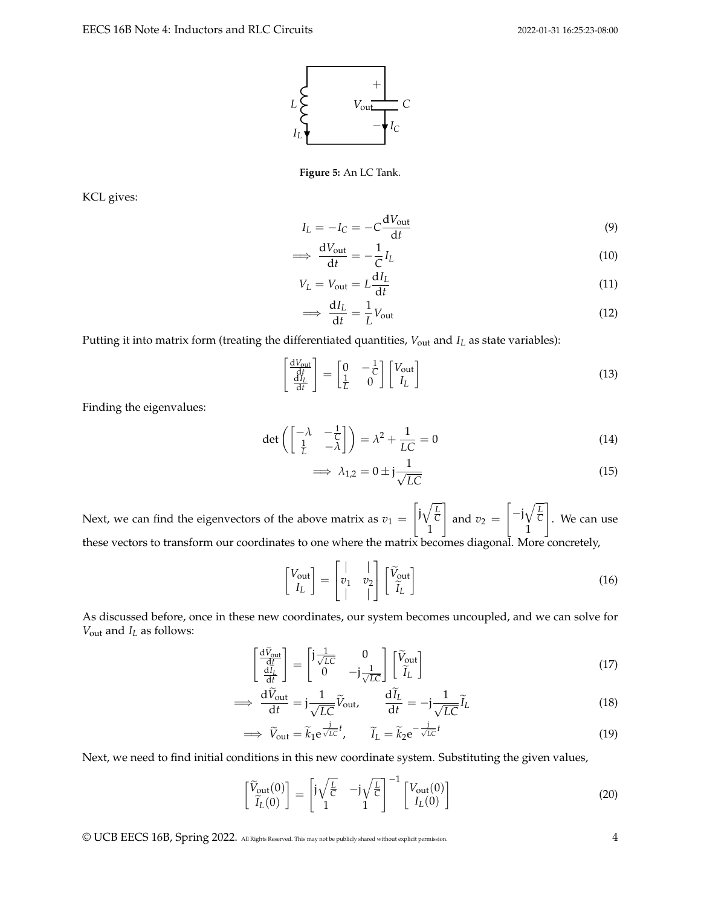

**Figure 5:** An LC Tank.

<span id="page-3-0"></span>KCL gives:

$$
I_L = -I_C = -C \frac{dV_{\text{out}}}{dt} \tag{9}
$$

$$
\implies \frac{dV_{\text{out}}}{dt} = -\frac{1}{C}I_L \tag{10}
$$

$$
V_L = V_{\text{out}} = L \frac{dI_L}{dt} \tag{11}
$$

$$
\implies \frac{dI_L}{dt} = \frac{1}{L}V_{\text{out}}\tag{12}
$$

Putting it into matrix form (treating the differentiated quantities,  $V_{\text{out}}$  and  $I_L$  as state variables):

$$
\begin{bmatrix}\n\frac{dV_{\text{out}}}{dt} \\
\frac{dI_L}{dt}\n\end{bmatrix} = \begin{bmatrix}\n0 & -\frac{1}{C} \\
\frac{1}{L} & 0\n\end{bmatrix} \begin{bmatrix}\nV_{\text{out}} \\
I_L\n\end{bmatrix}
$$
\n(13)

Finding the eigenvalues:

$$
\det\left(\begin{bmatrix} -\lambda & -\frac{1}{C} \\ \frac{1}{L} & -\lambda \end{bmatrix}\right) = \lambda^2 + \frac{1}{LC} = 0\tag{14}
$$

$$
\implies \lambda_{1,2} = 0 \pm \mathbf{j} \frac{1}{\sqrt{LC}} \tag{15}
$$

Next, we can find the eigenvectors of the above matrix as  $v_1 =$  $\int j\sqrt{\frac{L}{C}}$ 1 1 and  $v_2 =$  $\left[-j\sqrt{\frac{L}{C}}\right]$ 1 1 . We can use these vectors to transform our coordinates to one where the matrix becomes diagonal. More concretely,

$$
\begin{bmatrix} V_{\text{out}} \\ I_L \end{bmatrix} = \begin{bmatrix} | & | \\ v_1 & v_2 \\ | & | \end{bmatrix} \begin{bmatrix} \widetilde{V}_{\text{out}} \\ \widetilde{I}_L \end{bmatrix} \tag{16}
$$

As discussed before, once in these new coordinates, our system becomes uncoupled, and we can solve for *V*out and *I<sup>L</sup>* as follows:

$$
\begin{bmatrix}\n\frac{\mathrm{d}\tilde{V}_{\text{out}}}{\mathrm{d}t} \\
\frac{\mathrm{d}I_L}{\mathrm{d}t}\n\end{bmatrix} = \begin{bmatrix}\n\mathbf{j}\frac{1}{\sqrt{LC}} & 0 \\
0 & -\mathbf{j}\frac{1}{\sqrt{LC}}\n\end{bmatrix} \begin{bmatrix}\n\tilde{V}_{\text{out}} \\
\tilde{I}_L\n\end{bmatrix}
$$
\n(17)

$$
\Rightarrow \frac{\mathrm{d}\tilde{V}_{\text{out}}}{\mathrm{d}t} = \mathbf{j}\frac{1}{\sqrt{LC}}\tilde{V}_{\text{out}}, \qquad \frac{\mathrm{d}\tilde{I}_L}{\mathrm{d}t} = -\mathbf{j}\frac{1}{\sqrt{LC}}\tilde{I}_L \tag{18}
$$

$$
\implies \widetilde{V}_{\text{out}} = \widetilde{k}_1 e^{\frac{j}{\sqrt{LC}}t}, \qquad \widetilde{I}_L = \widetilde{k}_2 e^{-\frac{j}{\sqrt{LC}}t} \tag{19}
$$

Next, we need to find initial conditions in this new coordinate system. Substituting the given values,

$$
\begin{bmatrix}\n\widetilde{V}_{\text{out}}(0) \\
\widetilde{I}_L(0)\n\end{bmatrix} = \begin{bmatrix}\n\mathrm{j}\sqrt{\frac{L}{C}} & -\mathrm{j}\sqrt{\frac{L}{C}} \\
1 & 1\n\end{bmatrix}^{-1} \begin{bmatrix}\nV_{\text{out}}(0) \\
I_L(0)\n\end{bmatrix}
$$
\n(20)

© UCB EECS 16B, Spring 2022. All Rights Reserved. This may not be publicly shared without explicit permission. 4

=⇒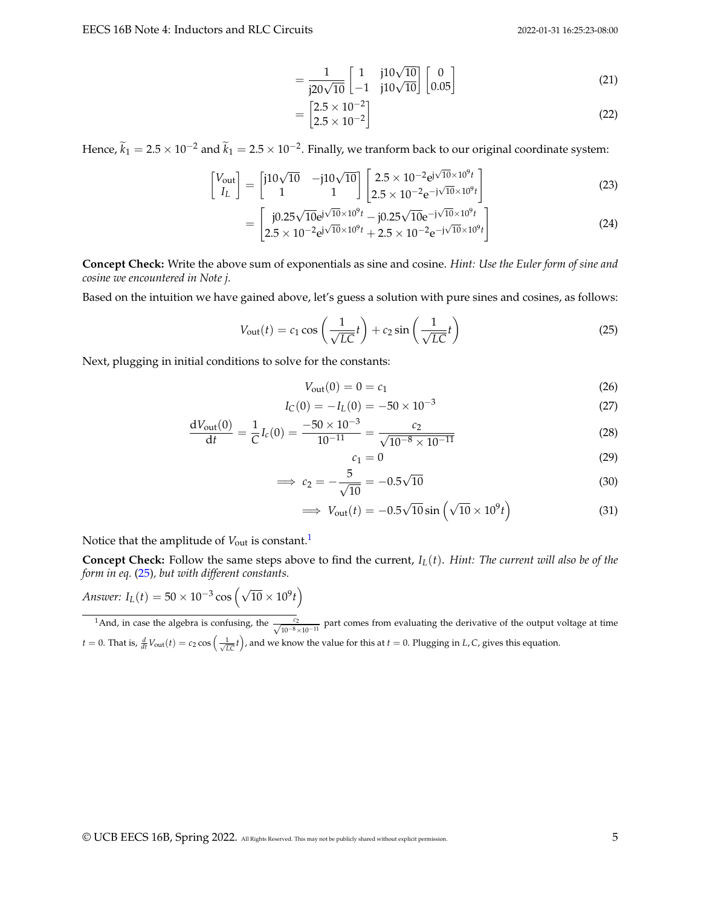$$
= \frac{1}{j20\sqrt{10}} \begin{bmatrix} 1 & j10\sqrt{10} \\ -1 & j10\sqrt{10} \end{bmatrix} \begin{bmatrix} 0 \\ 0.05 \end{bmatrix}
$$
 (21)

$$
= \begin{bmatrix} 2.5 \times 10^{-2} \\ 2.5 \times 10^{-2} \end{bmatrix}
$$
 (22)

Hence,  $\widetilde{k}_1 = 2.5 \times 10^{-2}$  and  $\widetilde{k}_1 = 2.5 \times 10^{-2}$ . Finally, we tranform back to our original coordinate system:

$$
\begin{bmatrix} V_{\text{out}} \\ I_L \end{bmatrix} = \begin{bmatrix} j10\sqrt{10} & -j10\sqrt{10} \\ 1 & 1 \end{bmatrix} \begin{bmatrix} 2.5 \times 10^{-2} \text{e}^{j\sqrt{10} \times 10^9 t} \\ 2.5 \times 10^{-2} \text{e}^{-j\sqrt{10} \times 10^9 t} \end{bmatrix}
$$
(23)

$$
= \left[\begin{array}{l} j0.25\sqrt{10}e^{j\sqrt{10}\times10^{9}t} - j0.25\sqrt{10}e^{-j\sqrt{10}\times10^{9}t} \\ 2.5\times10^{-2}e^{j\sqrt{10}\times10^{9}t} + 2.5\times10^{-2}e^{-j\sqrt{10}\times10^{9}t} \end{array}\right]
$$
(24)

**Concept Check:** Write the above sum of exponentials as sine and cosine. *Hint: Use the Euler form of sine and cosine we encountered in Note j.*

Based on the intuition we have gained above, let's guess a solution with pure sines and cosines, as follows:

$$
V_{\text{out}}(t) = c_1 \cos\left(\frac{1}{\sqrt{LC}}t\right) + c_2 \sin\left(\frac{1}{\sqrt{LC}}t\right) \tag{25}
$$

Next, plugging in initial conditions to solve for the constants:

$$
V_{\text{out}}(0) = 0 = c_1 \tag{26}
$$

$$
I_{\rm C}(0) = -I_{\rm L}(0) = -50 \times 10^{-3} \tag{27}
$$

$$
\frac{dV_{\text{out}}(0)}{dt} = \frac{1}{C}I_c(0) = \frac{-50 \times 10^{-3}}{10^{-11}} = \frac{c_2}{\sqrt{10^{-8} \times 10^{-11}}} \tag{28}
$$

<span id="page-4-1"></span>
$$
c_1 = 0 \tag{29}
$$

$$
\implies c_2 = -\frac{5}{\sqrt{10}} = -0.5\sqrt{10} \tag{30}
$$

$$
\implies V_{\text{out}}(t) = -0.5\sqrt{10}\sin\left(\sqrt{10} \times 10^9 t\right) \tag{31}
$$

Notice that the amplitude of  $V_{\text{out}}$  is constant.<sup>[1](#page-4-0)</sup>

**Concept Check:** Follow the same steps above to find the current,  $I_L(t)$ . *Hint: The current will also be of the form in eq.* [\(25\)](#page-4-1)*, but with different constants.*

*Answer:*  $I_L(t) = 50 \times 10^{-3} \cos \left(\sqrt{10} \times 10^9 t\right)$ 

<span id="page-4-0"></span><sup>1</sup>And, in case the algebra is confusing, the  $\frac{c_2}{\sqrt{10^{-8} \times 10^{-11}}}$  part comes from evaluating the derivative of the output voltage at time  $t = 0$ . That is,  $\frac{d}{dt}V_{\text{out}}(t) = c_2 \cos\left(\frac{1}{\sqrt{LC}}t\right)$ , and we know the value for this at  $t = 0$ . Plugging in *L*, *C*, gives this equation.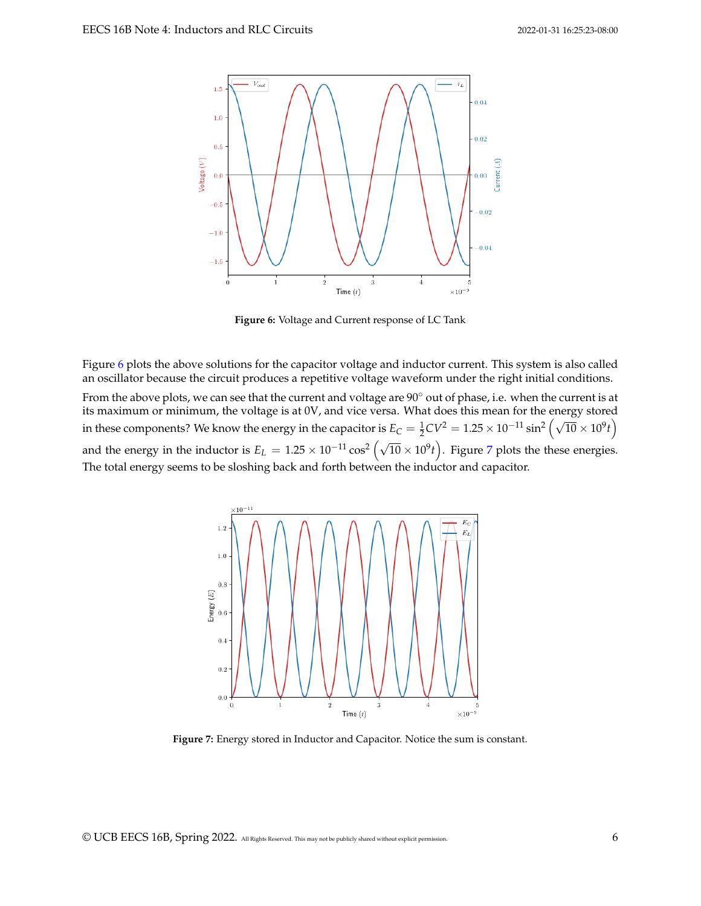<span id="page-5-0"></span>

**Figure 6:** Voltage and Current response of LC Tank

Figure [6](#page-5-0) plots the above solutions for the capacitor voltage and inductor current. This system is also called an oscillator because the circuit produces a repetitive voltage waveform under the right initial conditions.

<span id="page-5-1"></span>From the above plots, we can see that the current and voltage are 90° out of phase, i.e. when the current is at its maximum or minimum, the voltage is at 0V, and vice versa. What does this mean for the energy stored in these components? We know the energy in the capacitor is  $E_C = \frac{1}{2}CV^2 = 1.25 \times 10^{-11} \sin^2(\sqrt{10} \times 10^9 t)$ and the energy in the inductor is  $E_L = 1.25 \times 10^{-11} \cos^2 (\sqrt{10} \times 10^9 t)$ . Figure [7](#page-5-1) plots the these energies. The total energy seems to be sloshing back and forth between the inductor and capacitor.



**Figure 7:** Energy stored in Inductor and Capacitor. Notice the sum is constant.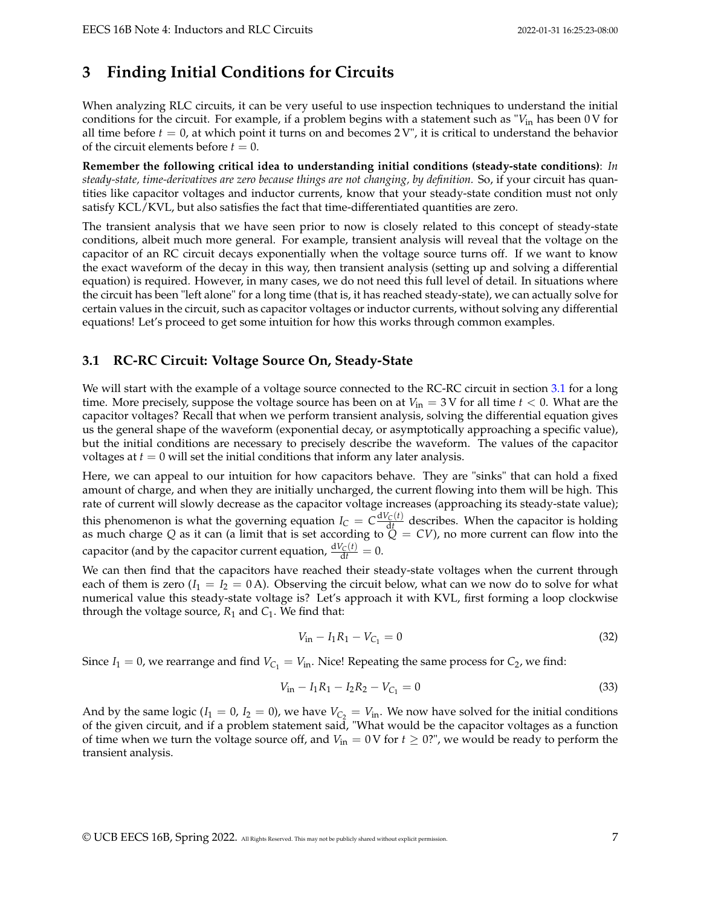# **3 Finding Initial Conditions for Circuits**

When analyzing RLC circuits, it can be very useful to use inspection techniques to understand the initial conditions for the circuit. For example, if a problem begins with a statement such as "*V*in has been 0 V for all time before  $t = 0$ , at which point it turns on and becomes  $2V'$ , it is critical to understand the behavior of the circuit elements before  $t = 0$ .

**Remember the following critical idea to understanding initial conditions (steady-state conditions)**: *In steady-state, time-derivatives are zero because things are not changing, by definition.* So, if your circuit has quantities like capacitor voltages and inductor currents, know that your steady-state condition must not only satisfy KCL/KVL, but also satisfies the fact that time-differentiated quantities are zero.

The transient analysis that we have seen prior to now is closely related to this concept of steady-state conditions, albeit much more general. For example, transient analysis will reveal that the voltage on the capacitor of an RC circuit decays exponentially when the voltage source turns off. If we want to know the exact waveform of the decay in this way, then transient analysis (setting up and solving a differential equation) is required. However, in many cases, we do not need this full level of detail. In situations where the circuit has been "left alone" for a long time (that is, it has reached steady-state), we can actually solve for certain values in the circuit, such as capacitor voltages or inductor currents, without solving any differential equations! Let's proceed to get some intuition for how this works through common examples.

## **3.1 RC-RC Circuit: Voltage Source On, Steady-State**

We will start with the example of a voltage source connected to the RC-RC circuit in section [3.1](#page-7-0) for a long time. More precisely, suppose the voltage source has been on at  $V_{in} = 3$  V for all time  $t < 0$ . What are the capacitor voltages? Recall that when we perform transient analysis, solving the differential equation gives us the general shape of the waveform (exponential decay, or asymptotically approaching a specific value), but the initial conditions are necessary to precisely describe the waveform. The values of the capacitor voltages at  $t = 0$  will set the initial conditions that inform any later analysis.

Here, we can appeal to our intuition for how capacitors behave. They are "sinks" that can hold a fixed amount of charge, and when they are initially uncharged, the current flowing into them will be high. This rate of current will slowly decrease as the capacitor voltage increases (approaching its steady-state value); this phenomenon is what the governing equation  $I_C = C \frac{dV_C(t)}{dt}$  describes. When the capacitor is holding as much charge *Q* as it can (a limit that is set according to *Q* = *CV*), no more current can flow into the capacitor (and by the capacitor current equation,  $\frac{dV_C(t)}{dt} = 0$ .

We can then find that the capacitors have reached their steady-state voltages when the current through each of them is zero  $(I_1 = I_2 = 0 \text{ A})$ . Observing the circuit below, what can we now do to solve for what numerical value this steady-state voltage is? Let's approach it with KVL, first forming a loop clockwise through the voltage source,  $R_1$  and  $C_1$ . We find that:

$$
V_{\rm in} - I_1 R_1 - V_{C_1} = 0 \tag{32}
$$

Since  $I_1 = 0$ , we rearrange and find  $V_{C_1} = V_{in}$ . Nice! Repeating the same process for  $C_2$ , we find:

$$
V_{\rm in} - I_1 R_1 - I_2 R_2 - V_{C_1} = 0 \tag{33}
$$

And by the same logic ( $I_1 = 0$ ,  $I_2 = 0$ ), we have  $V_{C_2} = V_{in}$ . We now have solved for the initial conditions of the given circuit, and if a problem statement said, "What would be the capacitor voltages as a function of time when we turn the voltage source off, and  $V_{in} = 0$  V for  $t \ge 0$ ?", we would be ready to perform the transient analysis.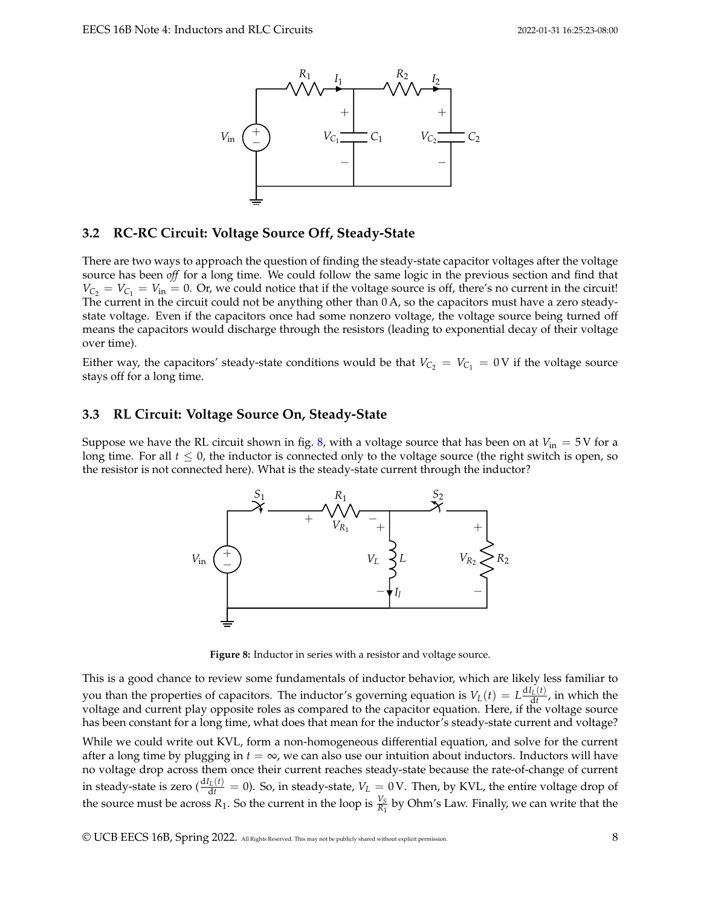<span id="page-7-0"></span>

## **3.2 RC-RC Circuit: Voltage Source Off, Steady-State**

There are two ways to approach the question of finding the steady-state capacitor voltages after the voltage source has been *off* for a long time. We could follow the same logic in the previous section and find that  $V_{\rm C_2} = V_{\rm C_1} = V_{\rm in} = 0$ . Or, we could notice that if the voltage source is off, there's no current in the circuit! The current in the circuit could not be anything other than 0 A, so the capacitors must have a zero steadystate voltage. Even if the capacitors once had some nonzero voltage, the voltage source being turned off means the capacitors would discharge through the resistors (leading to exponential decay of their voltage over time).

Either way, the capacitors' steady-state conditions would be that  $V_{C_2} = V_{C_1} = 0$  V if the voltage source stays off for a long time.

### **3.3 RL Circuit: Voltage Source On, Steady-State**

<span id="page-7-1"></span>Suppose we have the RL circuit shown in fig. [8,](#page-7-1) with a voltage source that has been on at  $V_{\text{in}} = 5$  V for a long time. For all  $t \leq 0$ , the inductor is connected only to the voltage source (the right switch is open, so the resistor is not connected here). What is the steady-state current through the inductor?



**Figure 8:** Inductor in series with a resistor and voltage source.

This is a good chance to review some fundamentals of inductor behavior, which are likely less familiar to you than the properties of capacitors. The inductor's governing equation is  $V_L(t) = L \frac{dI_L(t)}{dt}$ , in which the voltage and current play opposite roles as compared to the capacitor equation. Here, if the voltage source has been constant for a long time, what does that mean for the inductor's steady-state current and voltage?

While we could write out KVL, form a non-homogeneous differential equation, and solve for the current after a long time by plugging in  $t = \infty$ , we can also use our intuition about inductors. Inductors will have no voltage drop across them once their current reaches steady-state because the rate-of-change of current in steady-state is zero ( $\frac{dI_L(t)}{dt} = 0$ ). So, in steady-state,  $V_L = 0$  V. Then, by KVL, the entire voltage drop of the source must be across  $R_1$ . So the current in the loop is  $\frac{V_S}{R_1}$  by Ohm's Law. Finally, we can write that the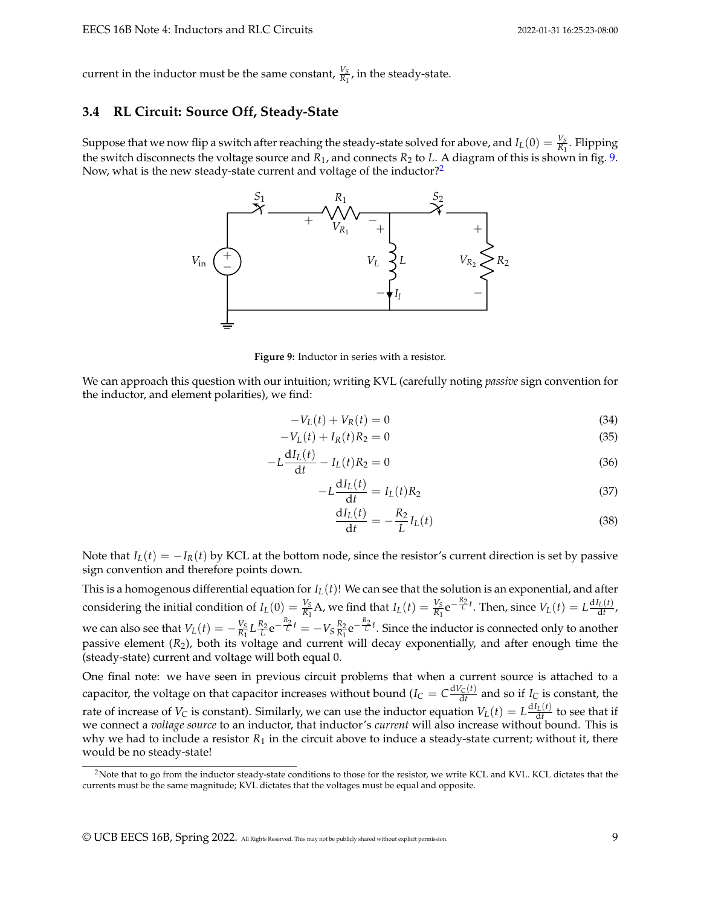current in the inductor must be the same constant,  $\frac{V_S}{R_1}$ , in the steady-state.

### **3.4 RL Circuit: Source Off, Steady-State**

<span id="page-8-0"></span>Suppose that we now flip a switch after reaching the steady-state solved for above, and  $I_L(0) = \frac{V_S}{R_1}$ . Flipping the switch disconnects the voltage source and  $R_1$ , and connects  $R_2$  to  $L$ . A diagram of this is shown in fig. [9.](#page-8-0) Now, what is the new steady-state current and voltage of the inductor?<sup>[2](#page-8-1)</sup>



**Figure 9:** Inductor in series with a resistor.

We can approach this question with our intuition; writing KVL (carefully noting *passive* sign convention for the inductor, and element polarities), we find:

$$
-V_L(t) + V_R(t) = 0
$$
\n(34)

$$
-V_L(t) + I_R(t)R_2 = 0
$$
\n(35)

$$
-L\frac{dI_L(t)}{dt} - I_L(t)R_2 = 0
$$
\n(36)

$$
-L\frac{dI_L(t)}{dt} = I_L(t)R_2
$$
\n(37)

$$
\frac{\mathrm{d}I_L(t)}{\mathrm{d}t} = -\frac{R_2}{L}I_L(t) \tag{38}
$$

Note that  $I_L(t) = -I_R(t)$  by KCL at the bottom node, since the resistor's current direction is set by passive sign convention and therefore points down.

This is a homogenous differential equation for *IL*(*t*)! We can see that the solution is an exponential, and after considering the initial condition of  $I_L(0) = \frac{V_S}{R_1}A$ , we find that  $I_L(t) = \frac{V_S}{R_1}e^{-\frac{R_2}{L}t}$ . Then, since  $V_L(t) = L\frac{dI_L(t)}{dt}$ , we can also see that  $V_L(t) = -\frac{V_S}{R_1}$  $\frac{V_S}{R_1} L \frac{R_2}{L} e^{-\frac{R_2}{L}t} = -V_S \frac{R_2}{R_1}$  $\frac{R_2}{R_1}e^{-\frac{R_2}{L}t}$ . Since the inductor is connected only to another passive element (*R*2), both its voltage and current will decay exponentially, and after enough time the (steady-state) current and voltage will both equal 0.

One final note: we have seen in previous circuit problems that when a current source is attached to a capacitor, the voltage on that capacitor increases without bound ( $I_C = C \frac{dV_C(t)}{dt}$  and so if  $I_C$  is constant, the rate of increase of *V*<sub>*C*</sub> is constant). Similarly, we can use the inductor equation  $V_L(t) = L \frac{dI_L(t)}{dt}$  to see that if we connect a *voltage source* to an inductor, that inductor's *current* will also increase without bound. This is why we had to include a resistor  $R_1$  in the circuit above to induce a steady-state current; without it, there would be no steady-state!

<span id="page-8-1"></span><sup>&</sup>lt;sup>2</sup>Note that to go from the inductor steady-state conditions to those for the resistor, we write KCL and KVL. KCL dictates that the currents must be the same magnitude; KVL dictates that the voltages must be equal and opposite.